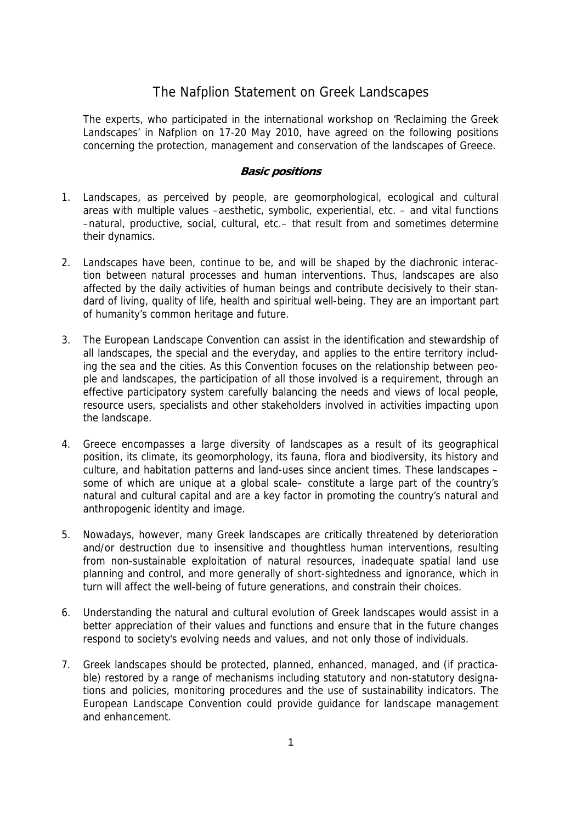## The Nafplion Statement on Greek Landscapes

The experts, who participated in the international workshop on 'Reclaiming the Greek Landscapes' in Nafplion on 17-20 May 2010, have agreed on the following positions concerning the protection, management and conservation of the landscapes of Greece.

## **Basic positions**

- 1. Landscapes, as perceived by people, are geomorphological, ecological and cultural areas with multiple values –aesthetic, symbolic, experiential, etc. – and vital functions –natural, productive, social, cultural, etc.– that result from and sometimes determine their dynamics.
- 2. Landscapes have been, continue to be, and will be shaped by the diachronic interaction between natural processes and human interventions. Thus, landscapes are also affected by the daily activities of human beings and contribute decisively to their standard of living, quality of life, health and spiritual well-being. They are an important part of humanity's common heritage and future.
- 3. The European Landscape Convention can assist in the identification and stewardship of all landscapes, the special and the everyday, and applies to the entire territory including the sea and the cities. As this Convention focuses on the relationship between people and landscapes, the participation of all those involved is a requirement, through an effective participatory system carefully balancing the needs and views of local people, resource users, specialists and other stakeholders involved in activities impacting upon the landscape.
- 4. Greece encompasses a large diversity of landscapes as a result of its geographical position, its climate, its geomorphology, its fauna, flora and biodiversity, its history and culture, and habitation patterns and land-uses since ancient times. These landscapes – some of which are unique at a global scale– constitute a large part of the country's natural and cultural capital and are a key factor in promoting the country's natural and anthropogenic identity and image.
- 5. Nowadays, however, many Greek landscapes are critically threatened by deterioration and/or destruction due to insensitive and thoughtless human interventions, resulting from non-sustainable exploitation of natural resources, inadequate spatial land use planning and control, and more generally of short-sightedness and ignorance, which in turn will affect the well-being of future generations, and constrain their choices.
- 6. Understanding the natural and cultural evolution of Greek landscapes would assist in a better appreciation of their values and functions and ensure that in the future changes respond to society's evolving needs and values, and not only those of individuals.
- 7. Greek landscapes should be protected, planned, enhanced, managed, and (if practicable) restored by a range of mechanisms including statutory and non-statutory designations and policies, monitoring procedures and the use of sustainability indicators. The European Landscape Convention could provide guidance for landscape management and enhancement.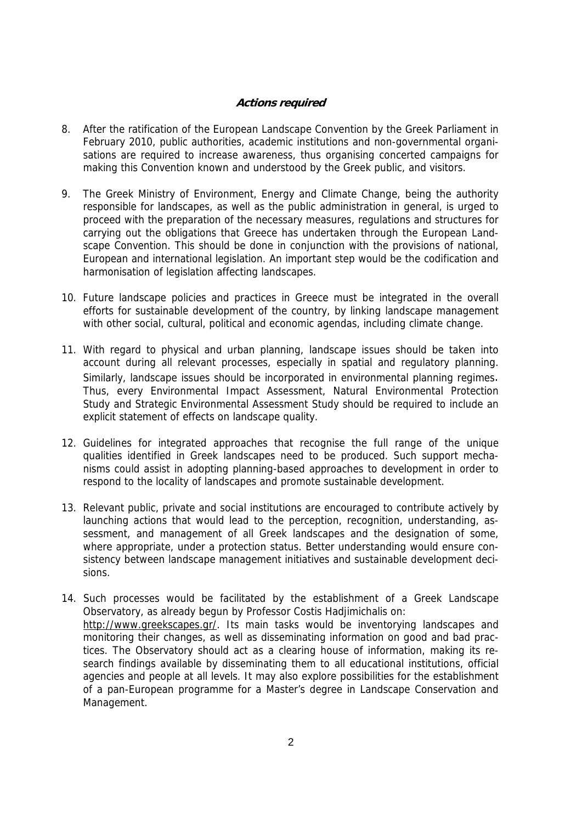## **Actions required**

- 8. After the ratification of the European Landscape Convention by the Greek Parliament in February 2010, public authorities, academic institutions and non-governmental organisations are required to increase awareness, thus organising concerted campaigns for making this Convention known and understood by the Greek public, and visitors.
- 9. The Greek Ministry of Environment, Energy and Climate Change, being the authority responsible for landscapes, as well as the public administration in general, is urged to proceed with the preparation of the necessary measures, regulations and structures for carrying out the obligations that Greece has undertaken through the European Landscape Convention. This should be done in conjunction with the provisions of national, European and international legislation. An important step would be the codification and harmonisation of legislation affecting landscapes.
- 10. Future landscape policies and practices in Greece must be integrated in the overall efforts for sustainable development of the country, by linking landscape management with other social, cultural, political and economic agendas, including climate change.
- 11. With regard to physical and urban planning, landscape issues should be taken into account during all relevant processes, especially in spatial and regulatory planning. Similarly, landscape issues should be incorporated in environmental planning regimes. Thus, every Environmental Impact Assessment, Natural Environmental Protection Study and Strategic Environmental Assessment Study should be required to include an explicit statement of effects on landscape quality.
- 12. Guidelines for integrated approaches that recognise the full range of the unique qualities identified in Greek landscapes need to be produced. Such support mechanisms could assist in adopting planning-based approaches to development in order to respond to the locality of landscapes and promote sustainable development.
- 13. Relevant public, private and social institutions are encouraged to contribute actively by launching actions that would lead to the perception, recognition, understanding, assessment, and management of all Greek landscapes and the designation of some, where appropriate, under a protection status. Better understanding would ensure consistency between landscape management initiatives and sustainable development decisions.
- 14. Such processes would be facilitated by the establishment of a Greek Landscape Observatory, as already begun by Professor Costis Hadjimichalis on: [http://www.greekscapes.gr/.](http://www.greekscapes.gr/) Its main tasks would be inventorying landscapes and monitoring their changes, as well as disseminating information on good and bad practices. The Observatory should act as a clearing house of information, making its research findings available by disseminating them to all educational institutions, official agencies and people at all levels. It may also explore possibilities for the establishment of a pan-European programme for a Master's degree in Landscape Conservation and Management.